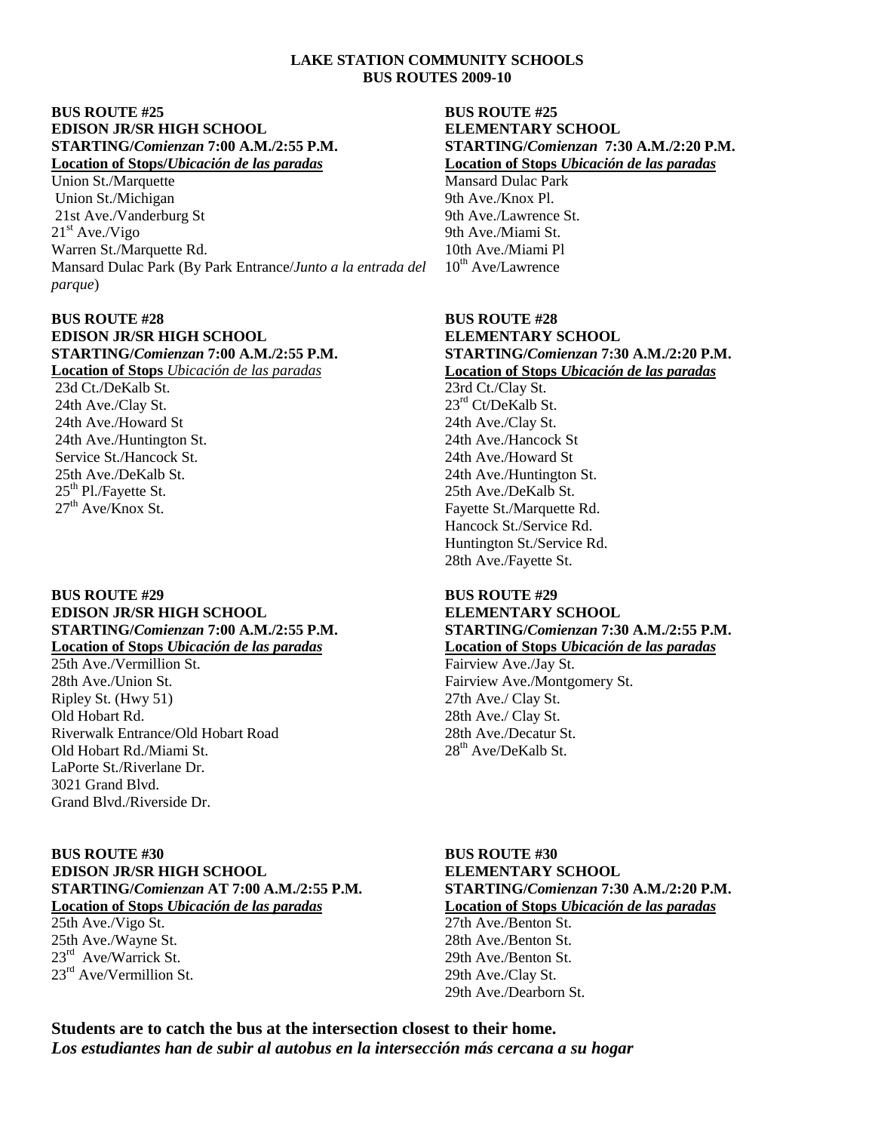## **LAKE STATION COMMUNITY SCHOOLS BUS ROUTES 2009-10**

## **BUS ROUTE #25 BUS ROUTE #25 EDISON JR/SR HIGH SCHOOL ELEMENTARY SCHOOL**

Union St./Marquette Mansard Dulac Park (Michigan Mansard Dulac Park (Michigan Mansard Dulac Park (Michigan Mansard Dulac Park (Michigan Mansard Dulac Park (Michigan Mansard Dulac Park (Michigan Mansard Dulac Park (Michigan Union St./Michigan 21st Ave./Vanderburg St 9th Ave./Lawrence St.  $21<sup>st</sup> Ave./Vigo$  9th Ave./Miami St. Warren St./Marquette Rd. 10th Ave./Miami Pl Mansard Dulac Park (By Park Entrance/*Junto a la entrada del parque*)

## **BUS ROUTE #28 BUS ROUTE #28 EDISON JR/SR HIGH SCHOOL ELEMENTARY SCHOOL<br>STARTING/Comienzan 7:00 A.M./2:55 P.M. STARTING/Comienzan 7:3**

23d Ct./DeKalb St. 23rd Ct./Clay St. 24th Ave./Clay St.  $23<sup>rd</sup> Ct/DeKalb St.$ 24th Ave./Howard St 24th Ave./Clay St. 24th Ave./Huntington St. 24th Ave./Hancock St Service St./Hancock St. 24th Ave./Howard St 25<sup>th</sup> Pl./Fayette St. 25th Ave./DeKalb St. 25<sup>th</sup> Ave./DeKalb St. 27<sup>th</sup> Ave./Knox St

# **BUS ROUTE #29 BUS ROUTE #29 EDISON JR/SR HIGH SCHOOL ELEMENTARY SCHOOL**

 $25th$  Ave /Vermillion St. 28th Ave./Union St. Fairview Ave./Montgomery St. Ripley St. (Hwy 51) 27th Ave./ Clay St. (Old Hobart Rd. 28th Ave./ Clay St. Riverwalk Entrance/Old Hobart Road 28th Ave./Decatur St.<br>
Old Hobart Rd./Miami St. 28<sup>th</sup> Ave/DeKalb St. Old Hobart Rd./Miami St. LaPorte St./Riverlane Dr. 3021 Grand Blvd. Grand Blvd./Riverside Dr.

## **BUS ROUTE #30 BUS ROUTE #30 EDISON JR/SR HIGH SCHOOL ELEMENTARY SCHOOL STARTING/***Comienzan* **AT 7:00 A.M./2:55 P.M. STARTING/***Comienzan* **7:30 A.M./2:20 P.M. Location of Stops** *Ubicación de las paradas* **Location of Stops** *Ubicación de las paradas*

25th Ave./Vigo St. 27th Ave./Benton St. 25th Ave./Wayne St. 28th Ave./Benton St. 23<sup>rd</sup> Ave/Warrick St.  $23<sup>rd</sup> Ave/Vermillion St.$  29th Ave./Clay St.

# **STARTING/***Comienzan* **7:00 A.M./2:55 P.M. STARTING/***Comienzan* **7:30 A.M./2:20 P.M. Location of Stops/***Ubicación de las paradas* **Location of Stops** *Ubicación de las paradas*

 $10^{th}$  Ave/Lawrence

# **STARTING/***Comienzan* **7:00 A.M./2:55 P.M. STARTING/***Comienzan* **7:30 A.M./2:20 P.M. Location of Stops** *Ubicación de las paradas* **Location of Stops** *Ubicación de las paradas*

25th Ave./DeKalb St. 25th Ave./Huntington St. 25th Ave./Huntington St. 25th Ave./DeKalb St. Fayette St./Marquette Rd. Hancock St./Service Rd. Huntington St./Service Rd. 28th Ave./Fayette St.

# **STARTING/***Comienzan* **7:00 A.M./2:55 P.M. STARTING/***Comienzan* **7:30 A.M./2:55 P.M.**

**Location of Stops** *Ubicación de las paradas* **Location of Stops** *Ubicación de las paradas* 28th Ave./ Clay St.

29th Ave./Benton St. 29th Ave./Dearborn St.

**Students are to catch the bus at the intersection closest to their home.**  *Los estudiantes han de subir al autobus en la intersección más cercana a su hogar*